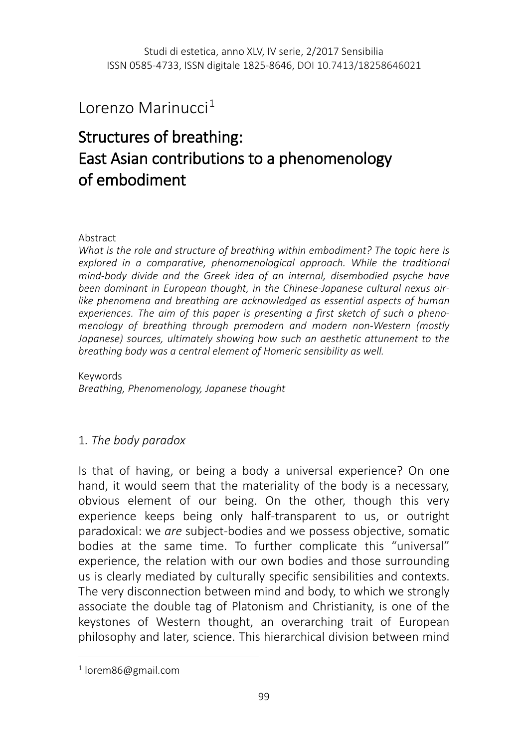## Lorenzo Marinucci $^1$  $^1$

# Structures of breathing: East Asian contributions to a phenomenology of embodiment

#### Abstract

*What is the role and structure of breathing within embodiment? The topic here is*  explored in a comparative, phenomenological approach. While the traditional *mind-body divide and the Greek idea of an internal, disembodied psyche have been dominant in European thought, in the Chinese-Japanese cultural nexus airlike phenomena and breathing are acknowledged as essential aspects of human experiences. The aim of this paper is presenting a first sketch of such a phenomenology of breathing through premodern and modern non-Western (mostly Japanese)* sources, ultimately showing how such an aesthetic attunement to the *breathing body was a central element of Homeric sensibility as well.* 

Keywords *Breathing, Phenomenology, Japanese thought*

## 1*. The body paradox*

Is that of having, or being a body a universal experience? On one hand, it would seem that the materiality of the body is a necessary, obvious element of our being. On the other, though this very experience keeps being only half-transparent to us, or outright paradoxical: we *are* subject-bodies and we possess objective, somatic bodies at the same time. To further complicate this "universal" experience, the relation with our own bodies and those surrounding us is clearly mediated by culturally specific sensibilities and contexts. The very disconnection between mind and body, to which we strongly associate the double tag of Platonism and Christianity, is one of the keystones of Western thought, an overarching trait of European philosophy and later, science. This hierarchical division between mind

 $\overline{a}$ 

<span id="page-0-0"></span><sup>1</sup> lorem86@gmail.com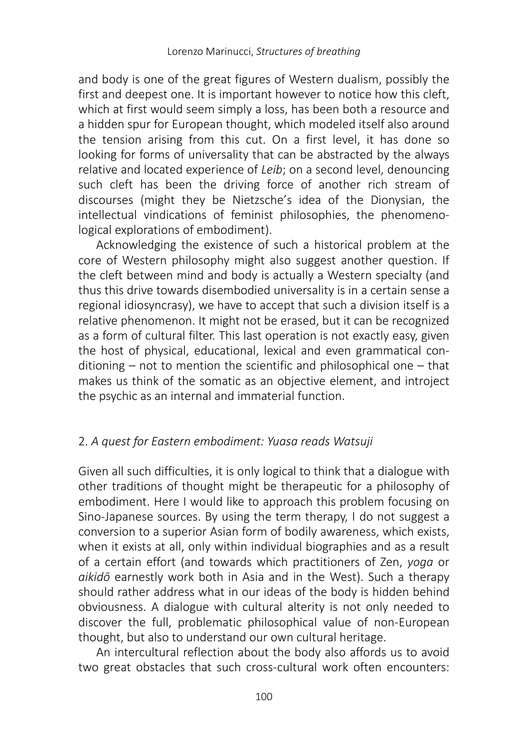and body is one of the great figures of Western dualism, possibly the first and deepest one. It is important however to notice how this cleft, which at first would seem simply a loss, has been both a resource and a hidden spur for European thought, which modeled itself also around the tension arising from this cut. On a first level, it has done so looking for forms of universality that can be abstracted by the always relative and located experience of *Leib*; on a second level, denouncing such cleft has been the driving force of another rich stream of discourses (might they be Nietzsche's idea of the Dionysian, the intellectual vindications of feminist philosophies, the phenomenological explorations of embodiment).

Acknowledging the existence of such a historical problem at the core of Western philosophy might also suggest another question. If the cleft between mind and body is actually a Western specialty (and thus this drive towards disembodied universality is in a certain sense a regional idiosyncrasy), we have to accept that such a division itself is a relative phenomenon. It might not be erased, but it can be recognized as a form of cultural filter. This last operation is not exactly easy, given the host of physical, educational, lexical and even grammatical conditioning – not to mention the scientific and philosophical one – that makes us think of the somatic as an objective element, and introject the psychic as an internal and immaterial function.

## 2. *A quest for Eastern embodiment: Yuasa reads Watsuji*

Given all such difficulties, it is only logical to think that a dialogue with other traditions of thought might be therapeutic for a philosophy of embodiment. Here I would like to approach this problem focusing on Sino-Japanese sources. By using the term therapy, I do not suggest a conversion to a superior Asian form of bodily awareness, which exists, when it exists at all, only within individual biographies and as a result of a certain effort (and towards which practitioners of Zen, *yoga* or *aikidō* earnestly work both in Asia and in the West). Such a therapy should rather address what in our ideas of the body is hidden behind obviousness. A dialogue with cultural alterity is not only needed to discover the full, problematic philosophical value of non-European thought, but also to understand our own cultural heritage.

An intercultural reflection about the body also affords us to avoid two great obstacles that such cross-cultural work often encounters: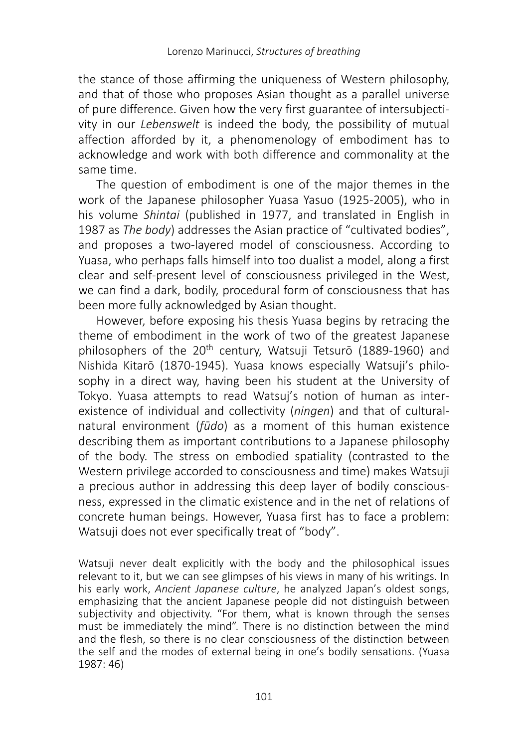the stance of those affirming the uniqueness of Western philosophy, and that of those who proposes Asian thought as a parallel universe of pure difference. Given how the very first guarantee of intersubjectivity in our *Lebenswelt* is indeed the body, the possibility of mutual affection afforded by it, a phenomenology of embodiment has to acknowledge and work with both difference and commonality at the same time.

The question of embodiment is one of the major themes in the work of the Japanese philosopher Yuasa Yasuo (1925-2005), who in his volume *Shintai* (published in 1977, and translated in English in 1987 as *The body*) addresses the Asian practice of "cultivated bodies", and proposes a two-layered model of consciousness. According to Yuasa, who perhaps falls himself into too dualist a model, along a first clear and self-present level of consciousness privileged in the West, we can find a dark, bodily, procedural form of consciousness that has been more fully acknowledged by Asian thought.

However, before exposing his thesis Yuasa begins by retracing the theme of embodiment in the work of two of the greatest Japanese philosophers of the 20<sup>th</sup> century, Watsuji Tetsurō (1889-1960) and Nishida Kitarō (1870-1945). Yuasa knows especially Watsuji's philosophy in a direct way, having been his student at the University of Tokyo. Yuasa attempts to read Watsuj's notion of human as interexistence of individual and collectivity (*ningen*) and that of culturalnatural environment (*fūdo*) as a moment of this human existence describing them as important contributions to a Japanese philosophy of the body. The stress on embodied spatiality (contrasted to the Western privilege accorded to consciousness and time) makes Watsuji a precious author in addressing this deep layer of bodily consciousness, expressed in the climatic existence and in the net of relations of concrete human beings. However, Yuasa first has to face a problem: Watsuji does not ever specifically treat of "body".

Watsuji never dealt explicitly with the body and the philosophical issues relevant to it, but we can see glimpses of his views in many of his writings. In his early work, *Ancient Japanese culture*, he analyzed Japan's oldest songs, emphasizing that the ancient Japanese people did not distinguish between subjectivity and objectivity. "For them, what is known through the senses must be immediately the mind". There is no distinction between the mind and the flesh, so there is no clear consciousness of the distinction between the self and the modes of external being in one's bodily sensations. (Yuasa 1987: 46)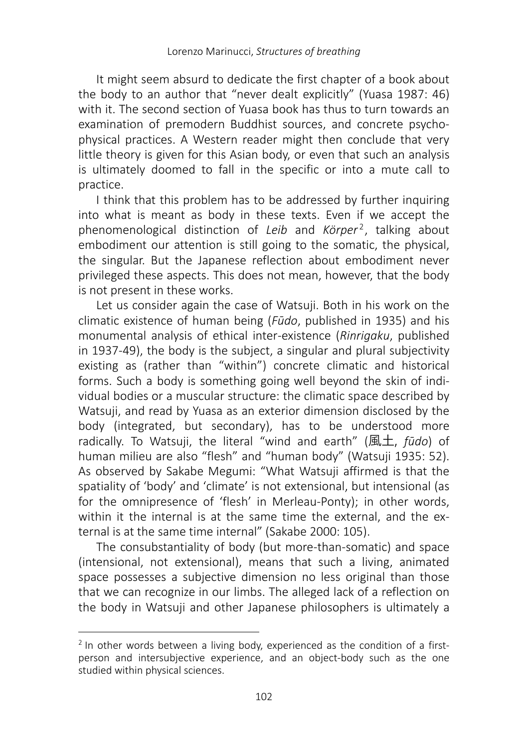It might seem absurd to dedicate the first chapter of a book about the body to an author that "never dealt explicitly" (Yuasa 1987: 46) with it. The second section of Yuasa book has thus to turn towards an examination of premodern Buddhist sources, and concrete psychophysical practices. A Western reader might then conclude that very little theory is given for this Asian body, or even that such an analysis is ultimately doomed to fall in the specific or into a mute call to practice.

I think that this problem has to be addressed by further inquiring into what is meant as body in these texts. Even if we accept the phenomenological distinction of *Leib* and *Körper<sup>[2](#page-3-0)</sup>*, talking about embodiment our attention is still going to the somatic, the physical, the singular. But the Japanese reflection about embodiment never privileged these aspects. This does not mean, however, that the body is not present in these works.

Let us consider again the case of Watsuji. Both in his work on the climatic existence of human being (*Fūdo*, published in 1935) and his monumental analysis of ethical inter-existence (*Rinrigaku*, published in 1937-49), the body is the subject, a singular and plural subjectivity existing as (rather than "within") concrete climatic and historical forms. Such a body is something going well beyond the skin of individual bodies or a muscular structure: the climatic space described by Watsuji, and read by Yuasa as an exterior dimension disclosed by the body (integrated, but secondary), has to be understood more radically. To Watsuji, the literal "wind and earth" (風土, *fūdo*) of human milieu are also "flesh" and "human body" (Watsuji 1935: 52). As observed by Sakabe Megumi: "What Watsuji affirmed is that the spatiality of 'body' and 'climate' is not extensional, but intensional (as for the omnipresence of 'flesh' in Merleau-Ponty); in other words, within it the internal is at the same time the external, and the external is at the same time internal" (Sakabe 2000: 105).

The consubstantiality of body (but more-than-somatic) and space (intensional, not extensional), means that such a living, animated space possesses a subjective dimension no less original than those that we can recognize in our limbs. The alleged lack of a reflection on the body in Watsuji and other Japanese philosophers is ultimately a

 $\overline{a}$ 

<span id="page-3-0"></span><sup>&</sup>lt;sup>2</sup> In other words between a living body, experienced as the condition of a firstperson and intersubjective experience, and an object-body such as the one studied within physical sciences.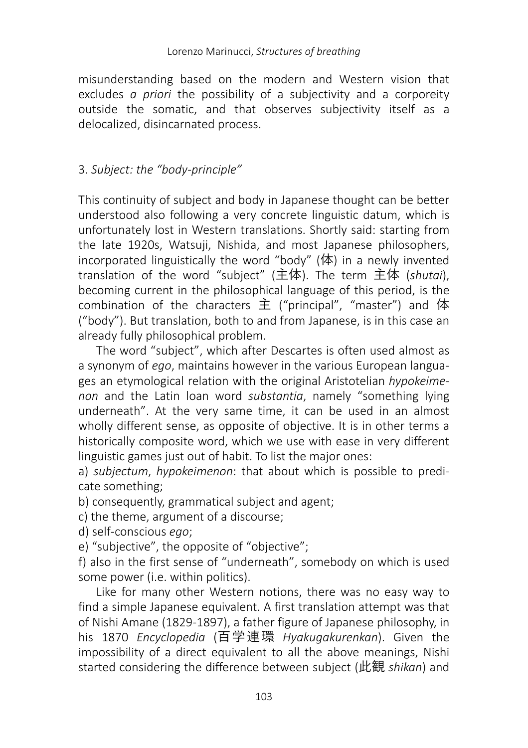misunderstanding based on the modern and Western vision that excludes *a priori* the possibility of a subjectivity and a corporeity outside the somatic, and that observes subjectivity itself as a delocalized, disincarnated process.

## 3. *Subject: the "body-principle"*

This continuity of subject and body in Japanese thought can be better understood also following a very concrete linguistic datum, which is unfortunately lost in Western translations. Shortly said: starting from the late 1920s, Watsuji, Nishida, and most Japanese philosophers, incorporated linguistically the word "body" (体) in a newly invented translation of the word "subject" (主体). The term 主体 (*shutai*), becoming current in the philosophical language of this period, is the combination of the characters 主 ("principal", "master") and 体 ("body"). But translation, both to and from Japanese, is in this case an already fully philosophical problem.

The word "subject", which after Descartes is often used almost as a synonym of *ego*, maintains however in the various European languages an etymological relation with the original Aristotelian *hypokeimenon* and the Latin loan word *substantia*, namely "something lying underneath". At the very same time, it can be used in an almost wholly different sense, as opposite of objective. It is in other terms a historically composite word, which we use with ease in very different linguistic games just out of habit. To list the major ones:

a) *subjectum*, *hypokeimenon*: that about which is possible to predicate something;

b) consequently, grammatical subject and agent;

c) the theme, argument of a discourse;

d) self-conscious *ego*;

e) "subjective", the opposite of "objective";

f) also in the first sense of "underneath", somebody on which is used some power (i.e. within politics).

Like for many other Western notions, there was no easy way to find a simple Japanese equivalent. A first translation attempt was that of Nishi Amane (1829-1897), a father figure of Japanese philosophy, in his 1870 *Encyclopedia* (百学連環 *Hyakugakurenkan*). Given the impossibility of a direct equivalent to all the above meanings, Nishi started considering the difference between subject (此観 *shikan*) and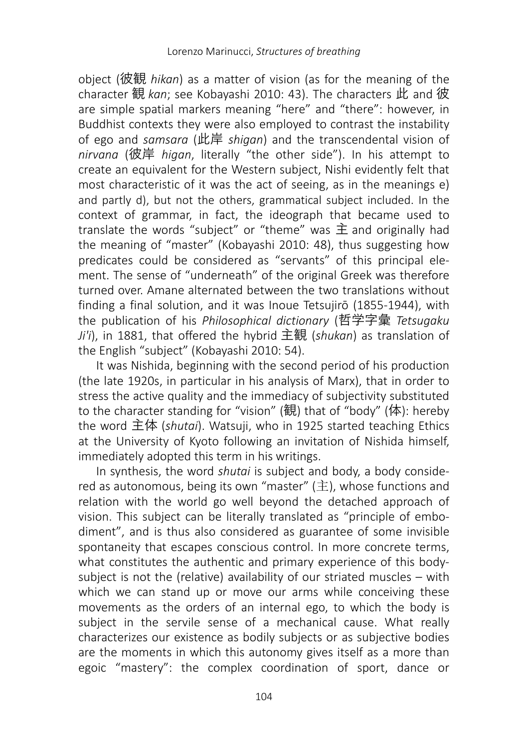object (彼観 *hikan*) as a matter of vision (as for the meaning of the character 観 *kan*; see Kobayashi 2010: 43). The characters 此 and 彼 are simple spatial markers meaning "here" and "there": however, in Buddhist contexts they were also employed to contrast the instability of ego and *samsara* (此岸 *shigan*) and the transcendental vision of *nirvana* (彼岸 *higan*, literally "the other side"). In his attempt to create an equivalent for the Western subject, Nishi evidently felt that most characteristic of it was the act of seeing, as in the meanings e) and partly d), but not the others, grammatical subject included. In the context of grammar, in fact, the ideograph that became used to translate the words "subject" or "theme" was  $\pm$  and originally had the meaning of "master" (Kobayashi 2010: 48), thus suggesting how predicates could be considered as "servants" of this principal element. The sense of "underneath" of the original Greek was therefore turned over. Amane alternated between the two translations without finding a final solution, and it was Inoue Tetsujirō (1855-1944), with the publication of his *Philosophical dictionary* (哲学字彙 *Tetsugaku Ji'i*), in 1881, that offered the hybrid 主観 (*shukan*) as translation of the English "subject" (Kobayashi 2010: 54).

It was Nishida, beginning with the second period of his production (the late 1920s, in particular in his analysis of Marx), that in order to stress the active quality and the immediacy of subjectivity substituted to the character standing for "vision" (観) that of "body" (体): hereby the word 主体 (*shutai*). Watsuji, who in 1925 started teaching Ethics at the University of Kyoto following an invitation of Nishida himself, immediately adopted this term in his writings.

In synthesis, the word *shutai* is subject and body, a body considered as autonomous, being its own "master" (主), whose functions and relation with the world go well beyond the detached approach of vision. This subject can be literally translated as "principle of embodiment", and is thus also considered as guarantee of some invisible spontaneity that escapes conscious control. In more concrete terms, what constitutes the authentic and primary experience of this bodysubject is not the (relative) availability of our striated muscles – with which we can stand up or move our arms while conceiving these movements as the orders of an internal ego, to which the body is subject in the servile sense of a mechanical cause. What really characterizes our existence as bodily subjects or as subjective bodies are the moments in which this autonomy gives itself as a more than egoic "mastery": the complex coordination of sport, dance or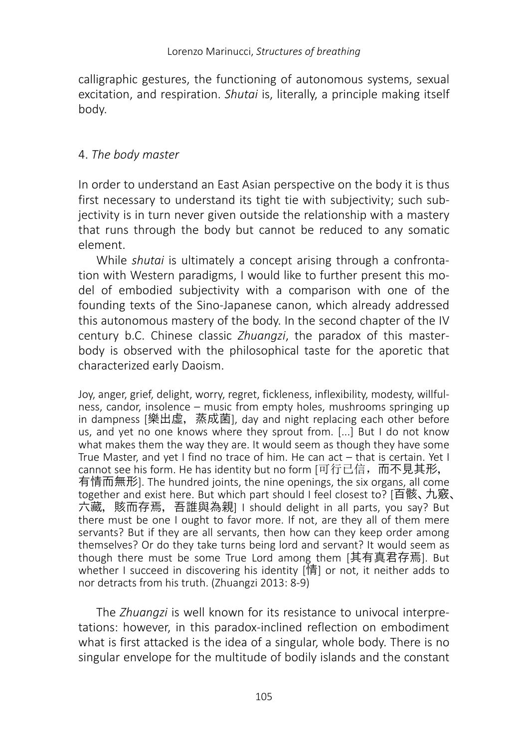calligraphic gestures, the functioning of autonomous systems, sexual excitation, and respiration. *Shutai* is, literally, a principle making itself body.

## 4. *The body master*

In order to understand an East Asian perspective on the body it is thus first necessary to understand its tight tie with subjectivity; such subjectivity is in turn never given outside the relationship with a mastery that runs through the body but cannot be reduced to any somatic element.

While *shutai* is ultimately a concept arising through a confrontation with Western paradigms, I would like to further present this model of embodied subjectivity with a comparison with one of the founding texts of the Sino-Japanese canon, which already addressed this autonomous mastery of the body. In the second chapter of the IV century b.C. Chinese classic *Zhuangzi*, the paradox of this masterbody is observed with the philosophical taste for the aporetic that characterized early Daoism.

Joy, anger, grief, delight, worry, regret, fickleness, inflexibility, modesty, willfulness, candor, insolence – music from empty holes, mushrooms springing up in dampness [樂出虛,蒸成菌], day and night replacing each other before us, and yet no one knows where they sprout from. [...] But I do not know what makes them the way they are. It would seem as though they have some True Master, and yet I find no trace of him. He can act – that is certain. Yet I cannot see his form. He has identity but no form [可行已信, 而不見其形, 有情而無形]. The hundred joints, the nine openings, the six organs, all come together and exist here. But which part should I feel closest to? [百骸、九竅、 六藏, 賅而存焉, 吾誰與為親] I should delight in all parts, you say? But there must be one I ought to favor more. If not, are they all of them mere servants? But if they are all servants, then how can they keep order among themselves? Or do they take turns being lord and servant? It would seem as though there must be some True Lord among them [其有真君存焉]. But whether I succeed in discovering his identity [情] or not, it neither adds to nor detracts from his truth. (Zhuangzi 2013: 8-9)

The *Zhuangzi* is well known for its resistance to univocal interpretations: however, in this paradox-inclined reflection on embodiment what is first attacked is the idea of a singular, whole body. There is no singular envelope for the multitude of bodily islands and the constant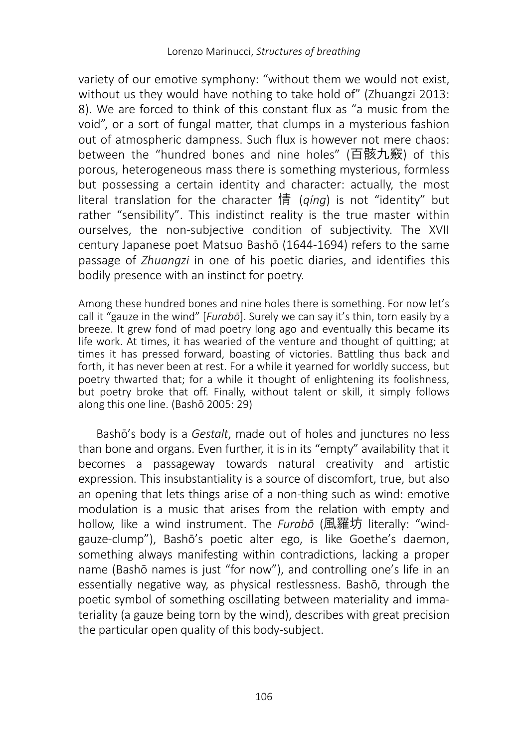variety of our emotive symphony: "without them we would not exist, without us they would have nothing to take hold of" (Zhuangzi 2013: 8). We are forced to think of this constant flux as "a music from the void", or a sort of fungal matter, that clumps in a mysterious fashion out of atmospheric dampness. Such flux is however not mere chaos: between the "hundred bones and nine holes" (百骸九竅) of this porous, heterogeneous mass there is something mysterious, formless but possessing a certain identity and character: actually, the most literal translation for the character 情 (*qíng*) is not "identity" but rather "sensibility". This indistinct reality is the true master within ourselves, the non-subjective condition of subjectivity. The XVII century Japanese poet Matsuo Bashō (1644-1694) refers to the same passage of *Zhuangzi* in one of his poetic diaries, and identifies this bodily presence with an instinct for poetry.

Among these hundred bones and nine holes there is something. For now let's call it "gauze in the wind" [*Furabō*]. Surely we can say it's thin, torn easily by a breeze. It grew fond of mad poetry long ago and eventually this became its life work. At times, it has wearied of the venture and thought of quitting; at times it has pressed forward, boasting of victories. Battling thus back and forth, it has never been at rest. For a while it yearned for worldly success, but poetry thwarted that; for a while it thought of enlightening its foolishness, but poetry broke that off. Finally, without talent or skill, it simply follows along this one line. (Bashō 2005: 29)

Bashō's body is a *Gestalt*, made out of holes and junctures no less than bone and organs. Even further, it is in its "empty" availability that it becomes a passageway towards natural creativity and artistic expression. This insubstantiality is a source of discomfort, true, but also an opening that lets things arise of a non-thing such as wind: emotive modulation is a music that arises from the relation with empty and hollow, like a wind instrument. The *Furabō* (風羅坊 literally: "windgauze-clump"), Bashō's poetic alter ego, is like Goethe's daemon, something always manifesting within contradictions, lacking a proper name (Bashō names is just "for now"), and controlling one's life in an essentially negative way, as physical restlessness. Bashō, through the poetic symbol of something oscillating between materiality and immateriality (a gauze being torn by the wind), describes with great precision the particular open quality of this body-subject.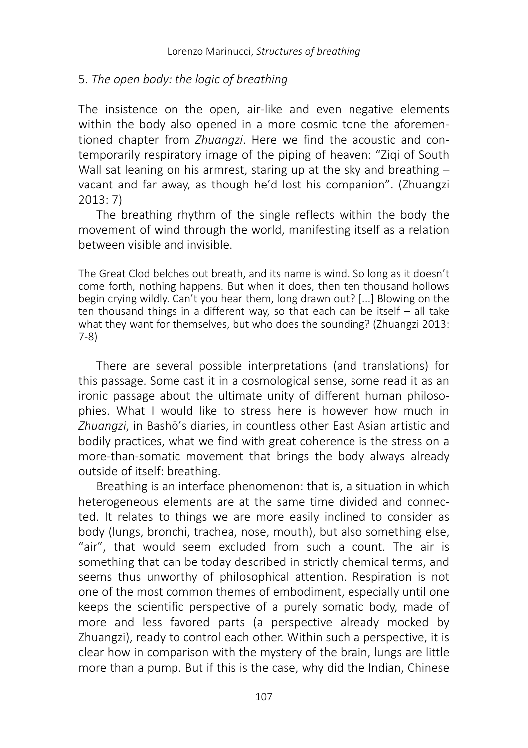#### 5. *The open body: the logic of breathing*

The insistence on the open, air-like and even negative elements within the body also opened in a more cosmic tone the aforementioned chapter from *Zhuangzi*. Here we find the acoustic and contemporarily respiratory image of the piping of heaven: "Ziqi of South Wall sat leaning on his armrest, staring up at the sky and breathing – vacant and far away, as though he'd lost his companion". (Zhuangzi 2013: 7)

The breathing rhythm of the single reflects within the body the movement of wind through the world, manifesting itself as a relation between visible and invisible.

The Great Clod belches out breath, and its name is wind. So long as it doesn't come forth, nothing happens. But when it does, then ten thousand hollows begin crying wildly. Can't you hear them, long drawn out? [...] Blowing on the ten thousand things in a different way, so that each can be itself – all take what they want for themselves, but who does the sounding? (Zhuangzi 2013: 7-8)

There are several possible interpretations (and translations) for this passage. Some cast it in a cosmological sense, some read it as an ironic passage about the ultimate unity of different human philosophies. What I would like to stress here is however how much in *Zhuangzi*, in Bashō's diaries, in countless other East Asian artistic and bodily practices, what we find with great coherence is the stress on a more-than-somatic movement that brings the body always already outside of itself: breathing.

Breathing is an interface phenomenon: that is, a situation in which heterogeneous elements are at the same time divided and connected. It relates to things we are more easily inclined to consider as body (lungs, bronchi, trachea, nose, mouth), but also something else, "air", that would seem excluded from such a count. The air is something that can be today described in strictly chemical terms, and seems thus unworthy of philosophical attention. Respiration is not one of the most common themes of embodiment, especially until one keeps the scientific perspective of a purely somatic body, made of more and less favored parts (a perspective already mocked by Zhuangzi), ready to control each other. Within such a perspective, it is clear how in comparison with the mystery of the brain, lungs are little more than a pump. But if this is the case, why did the Indian, Chinese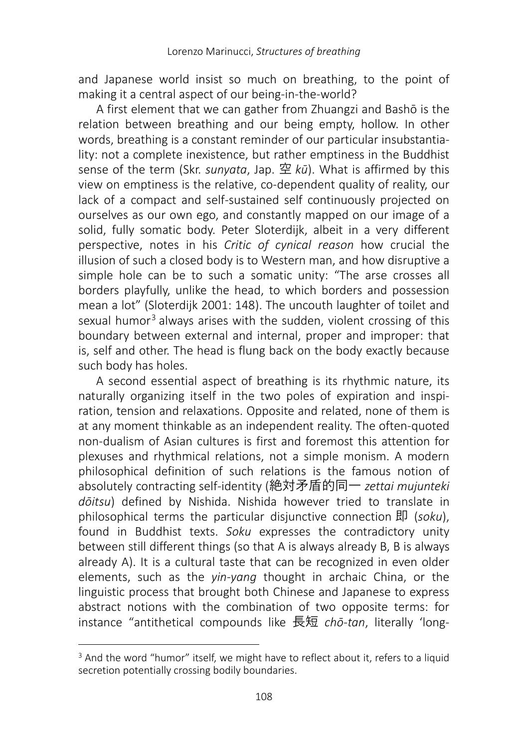and Japanese world insist so much on breathing, to the point of making it a central aspect of our being-in-the-world?

A first element that we can gather from Zhuangzi and Bashō is the relation between breathing and our being empty, hollow. In other words, breathing is a constant reminder of our particular insubstantiality: not a complete inexistence, but rather emptiness in the Buddhist sense of the term (Skr. *sunyata*, Jap. 空 *kū*). What is affirmed by this view on emptiness is the relative, co-dependent quality of reality, our lack of a compact and self-sustained self continuously projected on ourselves as our own ego, and constantly mapped on our image of a solid, fully somatic body. Peter Sloterdijk, albeit in a very different perspective, notes in his *Critic of cynical reason* how crucial the illusion of such a closed body is to Western man, and how disruptive a simple hole can be to such a somatic unity: "The arse crosses all borders playfully, unlike the head, to which borders and possession mean a lot" (Sloterdijk 2001: 148). The uncouth laughter of toilet and sexual humor<sup>[3](#page-9-0)</sup> always arises with the sudden, violent crossing of this boundary between external and internal, proper and improper: that is, self and other. The head is flung back on the body exactly because such body has holes.

A second essential aspect of breathing is its rhythmic nature, its naturally organizing itself in the two poles of expiration and inspiration, tension and relaxations. Opposite and related, none of them is at any moment thinkable as an independent reality. The often-quoted non-dualism of Asian cultures is first and foremost this attention for plexuses and rhythmical relations, not a simple monism. A modern philosophical definition of such relations is the famous notion of absolutely contracting self-identity (絶対矛盾的同一 *zettai mujunteki dōitsu*) defined by Nishida. Nishida however tried to translate in philosophical terms the particular disjunctive connection 即 (*soku*), found in Buddhist texts. *Soku* expresses the contradictory unity between still different things (so that A is always already B, B is always already A). It is a cultural taste that can be recognized in even older elements, such as the *yin-yang* thought in archaic China, or the linguistic process that brought both Chinese and Japanese to express abstract notions with the combination of two opposite terms: for instance "antithetical compounds like 長短 *chō-tan*, literally 'long-

<span id="page-9-0"></span> $\overline{a}$ <sup>3</sup> And the word "humor" itself, we might have to reflect about it, refers to a liquid secretion potentially crossing bodily boundaries.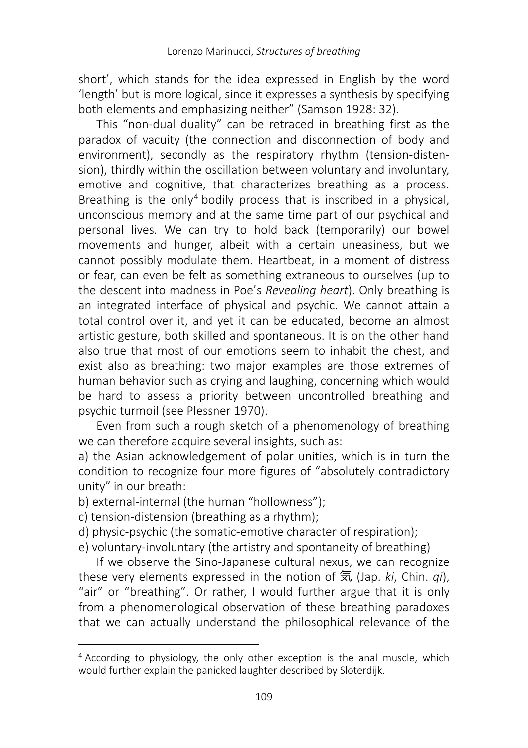short', which stands for the idea expressed in English by the word 'length' but is more logical, since it expresses a synthesis by specifying both elements and emphasizing neither" (Samson 1928: 32).

This "non-dual duality" can be retraced in breathing first as the paradox of vacuity (the connection and disconnection of body and environment), secondly as the respiratory rhythm (tension-distension), thirdly within the oscillation between voluntary and involuntary, emotive and cognitive, that characterizes breathing as a process. Breathing is the only<sup>[4](#page-10-0)</sup> bodily process that is inscribed in a physical, unconscious memory and at the same time part of our psychical and personal lives. We can try to hold back (temporarily) our bowel movements and hunger, albeit with a certain uneasiness, but we cannot possibly modulate them. Heartbeat, in a moment of distress or fear, can even be felt as something extraneous to ourselves (up to the descent into madness in Poe's *Revealing heart*). Only breathing is an integrated interface of physical and psychic. We cannot attain a total control over it, and yet it can be educated, become an almost artistic gesture, both skilled and spontaneous. It is on the other hand also true that most of our emotions seem to inhabit the chest, and exist also as breathing: two major examples are those extremes of human behavior such as crying and laughing, concerning which would be hard to assess a priority between uncontrolled breathing and psychic turmoil (see Plessner 1970).

Even from such a rough sketch of a phenomenology of breathing we can therefore acquire several insights, such as:

a) the Asian acknowledgement of polar unities, which is in turn the condition to recognize four more figures of "absolutely contradictory unity" in our breath:

b) external-internal (the human "hollowness");

- c) tension-distension (breathing as a rhythm);
- d) physic-psychic (the somatic-emotive character of respiration);
- e) voluntary-involuntary (the artistry and spontaneity of breathing)

If we observe the Sino-Japanese cultural nexus, we can recognize these very elements expressed in the notion of 気 (Jap. *ki*, Chin. *qi*), "air" or "breathing". Or rather, I would further argue that it is only from a phenomenological observation of these breathing paradoxes that we can actually understand the philosophical relevance of the

<span id="page-10-0"></span> $\overline{a}$ <sup>4</sup> According to physiology, the only other exception is the anal muscle, which would further explain the panicked laughter described by Sloterdijk.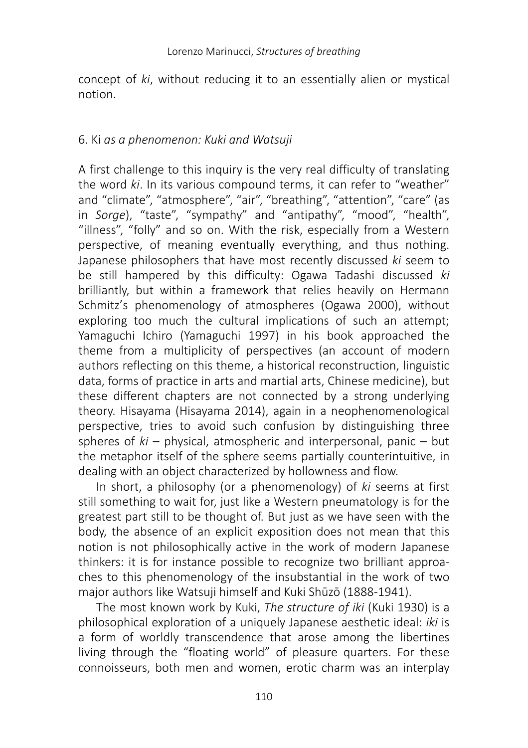concept of *ki*, without reducing it to an essentially alien or mystical notion.

#### 6. Ki *as a phenomenon: Kuki and Watsuji*

A first challenge to this inquiry is the very real difficulty of translating the word *ki*. In its various compound terms, it can refer to "weather" and "climate", "atmosphere", "air", "breathing", "attention", "care" (as in *Sorge*), "taste", "sympathy" and "antipathy", "mood", "health", "illness", "folly" and so on. With the risk, especially from a Western perspective, of meaning eventually everything, and thus nothing. Japanese philosophers that have most recently discussed *ki* seem to be still hampered by this difficulty: Ogawa Tadashi discussed *ki*  brilliantly, but within a framework that relies heavily on Hermann Schmitz's phenomenology of atmospheres (Ogawa 2000), without exploring too much the cultural implications of such an attempt; Yamaguchi Ichiro (Yamaguchi 1997) in his book approached the theme from a multiplicity of perspectives (an account of modern authors reflecting on this theme, a historical reconstruction, linguistic data, forms of practice in arts and martial arts, Chinese medicine), but these different chapters are not connected by a strong underlying theory. Hisayama (Hisayama 2014), again in a neophenomenological perspective, tries to avoid such confusion by distinguishing three spheres of *ki* – physical, atmospheric and interpersonal, panic – but the metaphor itself of the sphere seems partially counterintuitive, in dealing with an object characterized by hollowness and flow.

In short, a philosophy (or a phenomenology) of *ki* seems at first still something to wait for, just like a Western pneumatology is for the greatest part still to be thought of. But just as we have seen with the body, the absence of an explicit exposition does not mean that this notion is not philosophically active in the work of modern Japanese thinkers: it is for instance possible to recognize two brilliant approaches to this phenomenology of the insubstantial in the work of two major authors like Watsuji himself and Kuki Shūzō (1888-1941).

The most known work by Kuki, *The structure of iki* (Kuki 1930) is a philosophical exploration of a uniquely Japanese aesthetic ideal: *iki* is a form of worldly transcendence that arose among the libertines living through the "floating world" of pleasure quarters. For these connoisseurs, both men and women, erotic charm was an interplay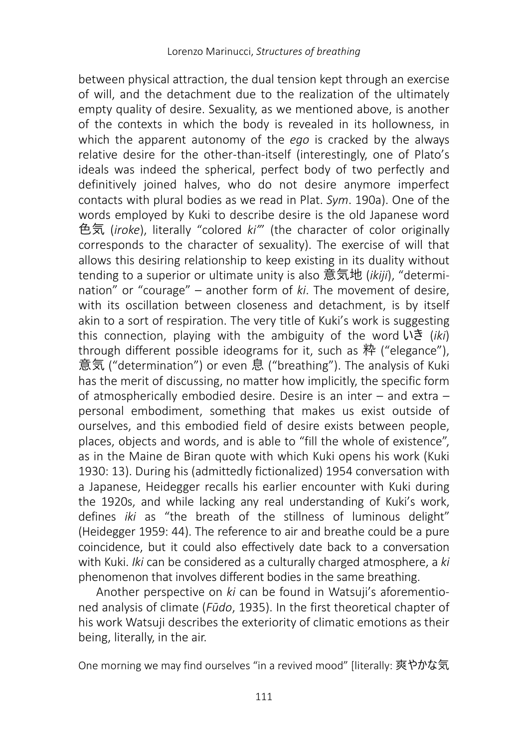between physical attraction, the dual tension kept through an exercise of will, and the detachment due to the realization of the ultimately empty quality of desire. Sexuality, as we mentioned above, is another of the contexts in which the body is revealed in its hollowness, in which the apparent autonomy of the *ego* is cracked by the always relative desire for the other-than-itself (interestingly, one of Plato's ideals was indeed the spherical, perfect body of two perfectly and definitively joined halves, who do not desire anymore imperfect contacts with plural bodies as we read in Plat. *Sym*. 190a). One of the words employed by Kuki to describe desire is the old Japanese word 色気 (*iroke*), literally "colored *ki"*' (the character of color originally corresponds to the character of sexuality). The exercise of will that allows this desiring relationship to keep existing in its duality without tending to a superior or ultimate unity is also 意気地 (*ikiji*), "determination" or "courage" – another form of *ki*. The movement of desire, with its oscillation between closeness and detachment, is by itself akin to a sort of respiration. The very title of Kuki's work is suggesting this connection, playing with the ambiguity of the word いき (*iki*) through different possible ideograms for it, such as 粋 ("elegance"), 意気 ("determination") or even 息 ("breathing"). The analysis of Kuki has the merit of discussing, no matter how implicitly, the specific form of atmospherically embodied desire. Desire is an inter – and extra – personal embodiment, something that makes us exist outside of ourselves, and this embodied field of desire exists between people, places, objects and words, and is able to "fill the whole of existence", as in the Maine de Biran quote with which Kuki opens his work (Kuki 1930: 13). During his (admittedly fictionalized) 1954 conversation with a Japanese, Heidegger recalls his earlier encounter with Kuki during the 1920s, and while lacking any real understanding of Kuki's work, defines *iki* as "the breath of the stillness of luminous delight" (Heidegger 1959: 44). The reference to air and breathe could be a pure coincidence, but it could also effectively date back to a conversation with Kuki. *Iki* can be considered as a culturally charged atmosphere, a *ki*  phenomenon that involves different bodies in the same breathing.

Another perspective on *ki* can be found in Watsuji's aforementioned analysis of climate (*Fūdo*, 1935). In the first theoretical chapter of his work Watsuji describes the exteriority of climatic emotions as their being, literally, in the air.

One morning we may find ourselves "in a revived mood" [literally: 爽やかな気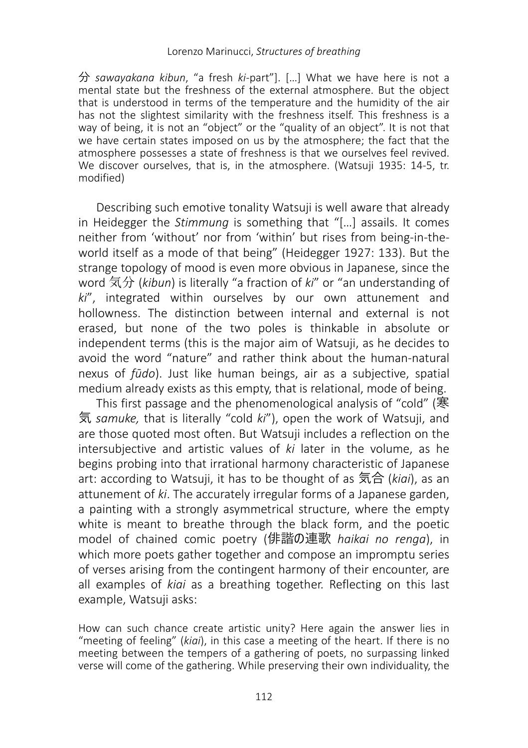分 *sawayakana kibun*, "a fresh *ki*-part"]. […] What we have here is not a mental state but the freshness of the external atmosphere. But the object that is understood in terms of the temperature and the humidity of the air has not the slightest similarity with the freshness itself. This freshness is a way of being, it is not an "object" or the "quality of an object". It is not that we have certain states imposed on us by the atmosphere; the fact that the atmosphere possesses a state of freshness is that we ourselves feel revived. We discover ourselves, that is, in the atmosphere. (Watsuii 1935: 14-5, tr. modified)

Describing such emotive tonality Watsuji is well aware that already in Heidegger the *Stimmung* is something that "[…] assails. It comes neither from 'without' nor from 'within' but rises from being-in-theworld itself as a mode of that being" (Heidegger 1927: 133). But the strange topology of mood is even more obvious in Japanese, since the word 気分 (*kibun*) is literally "a fraction of *ki*" or "an understanding of *ki*", integrated within ourselves by our own attunement and hollowness. The distinction between internal and external is not erased, but none of the two poles is thinkable in absolute or independent terms (this is the major aim of Watsuji, as he decides to avoid the word "nature" and rather think about the human-natural nexus of *fūdo*). Just like human beings, air as a subjective, spatial medium already exists as this empty, that is relational, mode of being.

This first passage and the phenomenological analysis of "cold" (寒 気 *samuke,* that is literally "cold *ki*"), open the work of Watsuji, and are those quoted most often. But Watsuji includes a reflection on the intersubjective and artistic values of *ki* later in the volume, as he begins probing into that irrational harmony characteristic of Japanese art: according to Watsuji, it has to be thought of as 気合 (*kiai*), as an attunement of *ki*. The accurately irregular forms of a Japanese garden, a painting with a strongly asymmetrical structure, where the empty white is meant to breathe through the black form, and the poetic model of chained comic poetry (俳諧の連歌 *haikai no renga*), in which more poets gather together and compose an impromptu series of verses arising from the contingent harmony of their encounter, are all examples of *kiai* as a breathing together. Reflecting on this last example, Watsuji asks:

How can such chance create artistic unity? Here again the answer lies in "meeting of feeling" (*kiai*), in this case a meeting of the heart. If there is no meeting between the tempers of a gathering of poets, no surpassing linked verse will come of the gathering. While preserving their own individuality, the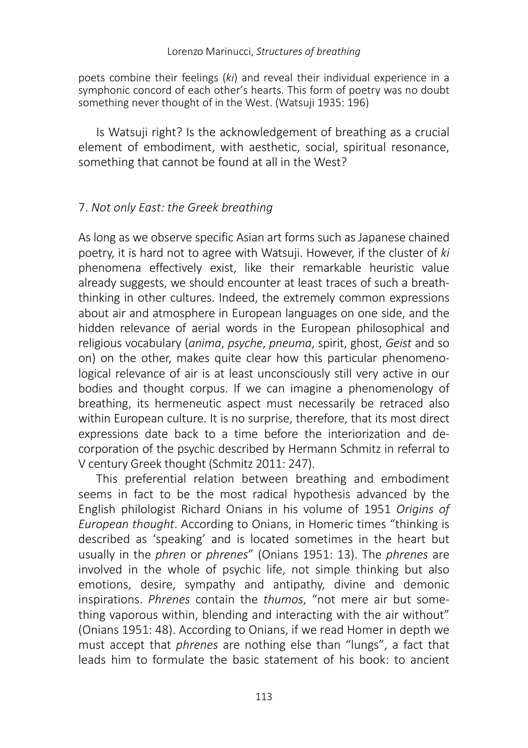poets combine their feelings (*ki*) and reveal their individual experience in a symphonic concord of each other's hearts. This form of poetry was no doubt something never thought of in the West. (Watsuji 1935: 196)

Is Watsuji right? Is the acknowledgement of breathing as a crucial element of embodiment, with aesthetic, social, spiritual resonance, something that cannot be found at all in the West?

#### 7. *Not only East: the Greek breathing*

As long as we observe specific Asian art forms such as Japanese chained poetry, it is hard not to agree with Watsuji. However, if the cluster of *ki*  phenomena effectively exist, like their remarkable heuristic value already suggests, we should encounter at least traces of such a breaththinking in other cultures. Indeed, the extremely common expressions about air and atmosphere in European languages on one side, and the hidden relevance of aerial words in the European philosophical and religious vocabulary (*anima*, *psyche*, *pneuma*, spirit, ghost, *Geist* and so on) on the other, makes quite clear how this particular phenomenological relevance of air is at least unconsciously still very active in our bodies and thought corpus. If we can imagine a phenomenology of breathing, its hermeneutic aspect must necessarily be retraced also within European culture. It is no surprise, therefore, that its most direct expressions date back to a time before the interiorization and decorporation of the psychic described by Hermann Schmitz in referral to V century Greek thought (Schmitz 2011: 247).

This preferential relation between breathing and embodiment seems in fact to be the most radical hypothesis advanced by the English philologist Richard Onians in his volume of 1951 *Origins of European thought*. According to Onians, in Homeric times "thinking is described as 'speaking' and is located sometimes in the heart but usually in the *phren* or *phrenes*" (Onians 1951: 13). The *phrenes* are involved in the whole of psychic life, not simple thinking but also emotions, desire, sympathy and antipathy, divine and demonic inspirations. *Phrenes* contain the *thumos*, "not mere air but something vaporous within, blending and interacting with the air without" (Onians 1951: 48). According to Onians, if we read Homer in depth we must accept that *phrenes* are nothing else than "lungs", a fact that leads him to formulate the basic statement of his book: to ancient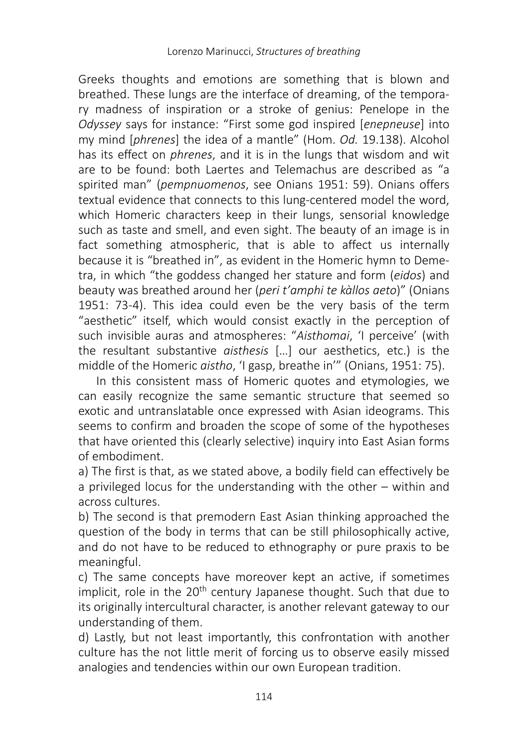Greeks thoughts and emotions are something that is blown and breathed. These lungs are the interface of dreaming, of the temporary madness of inspiration or a stroke of genius: Penelope in the *Odyssey* says for instance: "First some god inspired [*enepneuse*] into my mind [*phrenes*] the idea of a mantle" (Hom. *Od.* 19.138). Alcohol has its effect on *phrenes*, and it is in the lungs that wisdom and wit are to be found: both Laertes and Telemachus are described as "a spirited man" (*pempnuomenos*, see Onians 1951: 59). Onians offers textual evidence that connects to this lung-centered model the word, which Homeric characters keep in their lungs, sensorial knowledge such as taste and smell, and even sight. The beauty of an image is in fact something atmospheric, that is able to affect us internally because it is "breathed in", as evident in the Homeric hymn to Demetra, in which "the goddess changed her stature and form (*eidos*) and beauty was breathed around her (*peri t'amphi te kàllos aeto*)" (Onians 1951: 73-4). This idea could even be the very basis of the term "aesthetic" itself, which would consist exactly in the perception of such invisible auras and atmospheres: "*Aisthomai*, 'I perceive' (with the resultant substantive *aisthesis* […] our aesthetics, etc.) is the middle of the Homeric *aistho*, 'I gasp, breathe in'" (Onians, 1951: 75).

In this consistent mass of Homeric quotes and etymologies, we can easily recognize the same semantic structure that seemed so exotic and untranslatable once expressed with Asian ideograms. This seems to confirm and broaden the scope of some of the hypotheses that have oriented this (clearly selective) inquiry into East Asian forms of embodiment.

a) The first is that, as we stated above, a bodily field can effectively be a privileged locus for the understanding with the other – within and across cultures.

b) The second is that premodern East Asian thinking approached the question of the body in terms that can be still philosophically active, and do not have to be reduced to ethnography or pure praxis to be meaningful.

c) The same concepts have moreover kept an active, if sometimes implicit, role in the 20<sup>th</sup> century Japanese thought. Such that due to its originally intercultural character, is another relevant gateway to our understanding of them.

d) Lastly, but not least importantly, this confrontation with another culture has the not little merit of forcing us to observe easily missed analogies and tendencies within our own European tradition.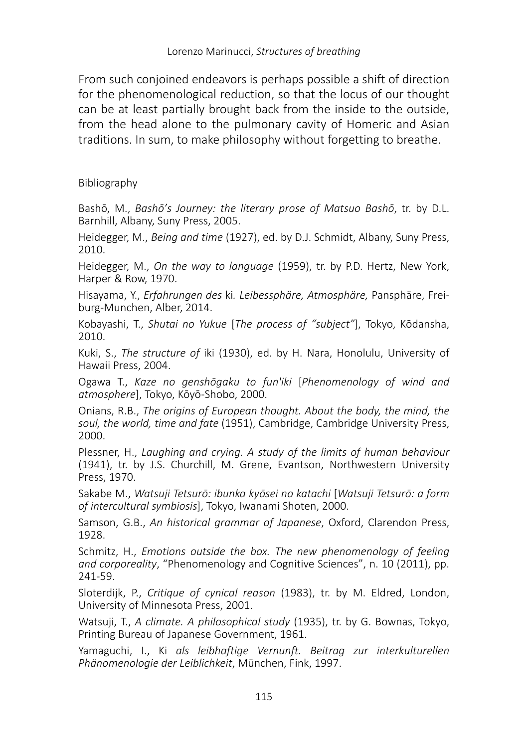From such conjoined endeavors is perhaps possible a shift of direction for the phenomenological reduction, so that the locus of our thought can be at least partially brought back from the inside to the outside, from the head alone to the pulmonary cavity of Homeric and Asian traditions. In sum, to make philosophy without forgetting to breathe.

#### Bibliography

Bashō, M., *Bashō's Journey: the literary prose of Matsuo Bashō*, tr. by D.L. Barnhill, Albany, Suny Press, 2005.

Heidegger, M., *Being and time* (1927), ed. by D.J. Schmidt, Albany, Suny Press, 2010.

Heidegger, M., *On the way to language* (1959), tr. by P.D. Hertz, New York, Harper & Row, 1970.

Hisayama, Y., *Erfahrungen des* ki*. Leibessphäre, Atmosphäre,* Pansphäre, Freiburg-Munchen, Alber, 2014.

Kobayashi, T., *Shutai no Yukue* [*The process of "subject"*], Tokyo, Kōdansha, 2010.

Kuki, S., *The structure of* iki (1930), ed. by H. Nara, Honolulu, University of Hawaii Press, 2004.

Ogawa T., *Kaze no genshōgaku to fun'iki* [*Phenomenology of wind and atmosphere*], Tokyo, Kōyō-Shobo, 2000.

Onians, R.B., *The origins of European thought. About the body, the mind, the soul, the world, time and fate* (1951), Cambridge, Cambridge University Press, 2000.

Plessner, H., *Laughing and crying. A study of the limits of human behaviour* (1941), tr. by J.S. Churchill, M. Grene, Evantson, Northwestern University Press, 1970.

Sakabe M., *Watsuji Tetsurō: ibunka kyōsei no katachi* [*Watsuji Tetsurō: a form of intercultural symbiosis*], Tokyo, Iwanami Shoten, 2000.

Samson, G.B., *An historical grammar of Japanese*, Oxford, Clarendon Press, 1928.

Schmitz, H., *Emotions outside the box. The new phenomenology of feeling and corporeality*, "Phenomenology and Cognitive Sciences", n. 10 (2011), pp. 241-59.

Sloterdijk, P., *Critique of cynical reason* (1983), tr. by M. Eldred, London, University of Minnesota Press, 2001.

Watsuji, T., *A climate. A philosophical study* (1935), tr. by G. Bownas, Tokyo, Printing Bureau of Japanese Government, 1961.

Yamaguchi, I., Ki *als leibhaftige Vernunft. Beitrag zur interkulturellen Phänomenologie der Leiblichkeit*, München, Fink, 1997.